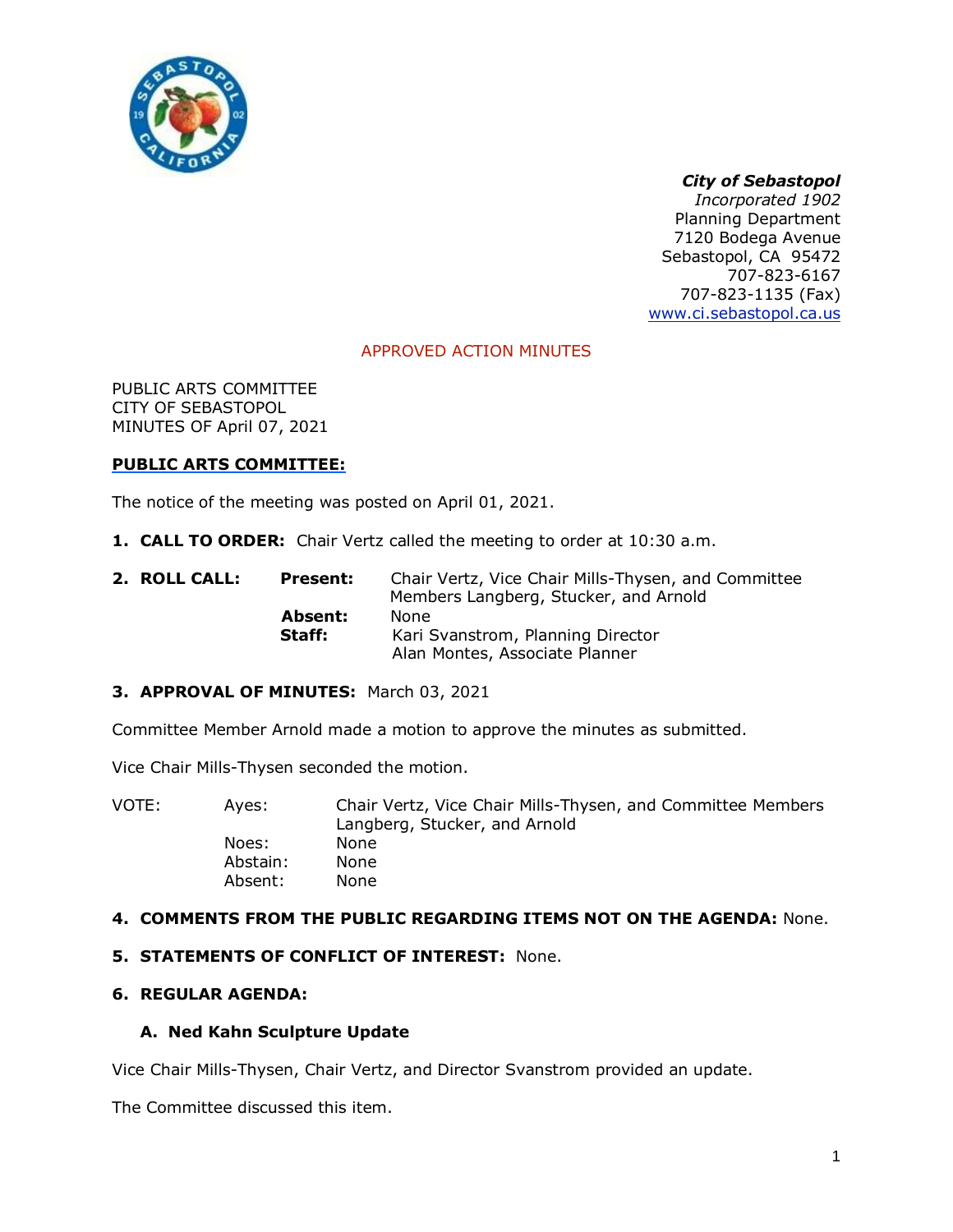

# *City of Sebastopol*

*Incorporated 1902* Planning Department 7120 Bodega Avenue Sebastopol, CA 95472 707-823-6167 707-823-1135 (Fax) [www.ci.sebastopol.ca.us](http://www.ci.sebastopol.ca.us/)

## APPROVED ACTION MINUTES

PUBLIC ARTS COMMITTEE CITY OF SEBASTOPOL MINUTES OF April 07, 2021

## **PUBLIC ARTS COMMITTEE:**

The notice of the meeting was posted on April 01, 2021.

**1. CALL TO ORDER:** Chair Vertz called the meeting to order at 10:30 a.m.

| 2. ROLL CALL: | Present: | Chair Vertz, Vice Chair Mills-Thysen, and Committee<br>Members Langberg, Stucker, and Arnold |
|---------------|----------|----------------------------------------------------------------------------------------------|
|               | Absent:  | <b>None</b>                                                                                  |
|               | Staff:   | Kari Svanstrom, Planning Director                                                            |
|               |          | Alan Montes, Associate Planner                                                               |

#### **3. APPROVAL OF MINUTES:** March 03, 2021

Committee Member Arnold made a motion to approve the minutes as submitted.

Vice Chair Mills-Thysen seconded the motion.

| Aves:    | Chair Vertz, Vice Chair Mills-Thysen, and Committee Members<br>Langberg, Stucker, and Arnold |
|----------|----------------------------------------------------------------------------------------------|
| Noes:    | None                                                                                         |
| Abstain: | <b>None</b>                                                                                  |
| Absent:  | <b>None</b>                                                                                  |
|          |                                                                                              |

## **4. COMMENTS FROM THE PUBLIC REGARDING ITEMS NOT ON THE AGENDA:** None.

#### **5. STATEMENTS OF CONFLICT OF INTEREST:** None.

## **6. REGULAR AGENDA:**

#### **A. Ned Kahn Sculpture Update**

Vice Chair Mills-Thysen, Chair Vertz, and Director Svanstrom provided an update.

The Committee discussed this item.